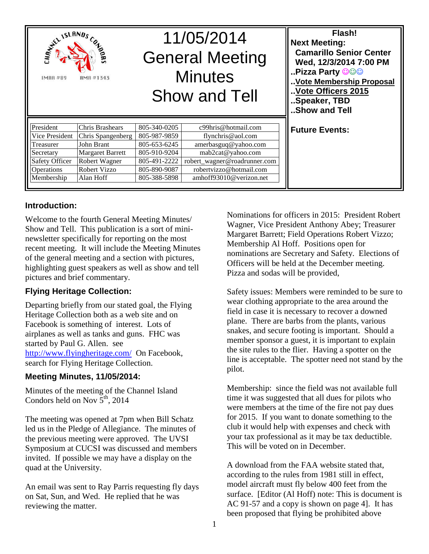| <b>SERVISLANDS</b><br><b>CANDRE</b><br>AMA #1343<br><b>IMAR#89</b> |                         | 11/05/2014<br><b>General Meeting</b><br><b>Minutes</b><br><b>Show and Tell</b> |                              | Flash!<br><b>Next Meeting:</b><br><b>Camarillo Senior Center</b><br>Wed, 12/3/2014 7:00 PM<br><b>Pizza Party ©©©</b><br>Vote Membership Proposal<br>Vote Officers 2015<br>Speaker, TBD<br>Show and Tell |
|--------------------------------------------------------------------|-------------------------|--------------------------------------------------------------------------------|------------------------------|---------------------------------------------------------------------------------------------------------------------------------------------------------------------------------------------------------|
| President                                                          | Chris Brashears         | 805-340-0205                                                                   | c99hris@hotmail.com          | <b>Future Events:</b>                                                                                                                                                                                   |
| Vice President                                                     | Chris Spangenberg       | 805-987-9859                                                                   | flynchris@aol.com            |                                                                                                                                                                                                         |
| Treasurer                                                          | John Brant              | 805-653-6245                                                                   | amerbasguq@yahoo.com         |                                                                                                                                                                                                         |
| Secretary                                                          | <b>Margaret Barrett</b> | 805-910-9204                                                                   | mab2cat@yahoo.com            |                                                                                                                                                                                                         |
| <b>Safety Officer</b>                                              | Robert Wagner           | 805-491-2222                                                                   | robert_wagner@roadrunner.com |                                                                                                                                                                                                         |
| <b>Operations</b>                                                  | Robert Vizzo            | 805-890-9087                                                                   | robertvizzo@hotmail.com      |                                                                                                                                                                                                         |
| Membership                                                         | Alan Hoff               | 805-388-5898                                                                   | amhoff93010@verizon.net      |                                                                                                                                                                                                         |

#### **Introduction:**

Welcome to the fourth General Meeting Minutes/ Show and Tell. This publication is a sort of mininewsletter specifically for reporting on the most recent meeting. It will include the Meeting Minutes of the general meeting and a section with pictures, highlighting guest speakers as well as show and tell pictures and brief commentary.

#### **Flying Heritage Collection:**

Departing briefly from our stated goal, the Flying Heritage Collection both as a web site and on Facebook is something of interest. Lots of airplanes as well as tanks and guns. FHC was started by Paul G. Allen. see http://www.flyingheritage.com/ On Facebook, search for Flying Heritage Collection.

#### **Meeting Minutes, 11/05/2014:**

Minutes of the meeting of the Channel Island Condors held on Nov  $5<sup>th</sup>$ , 2014

The meeting was opened at 7pm when Bill Schatz led us in the Pledge of Allegiance. The minutes of the previous meeting were approved. The UVSI Symposium at CUCSI was discussed and members invited. If possible we may have a display on the quad at the University.

An email was sent to Ray Parris requesting fly days on Sat, Sun, and Wed. He replied that he was reviewing the matter.

Nominations for officers in 2015: President Robert Wagner, Vice President Anthony Abey; Treasurer Margaret Barrett; Field Operations Robert Vizzo; Membership Al Hoff. Positions open for nominations are Secretary and Safety. Elections of Officers will be held at the December meeting. Pizza and sodas will be provided,

Safety issues: Members were reminded to be sure to wear clothing appropriate to the area around the field in case it is necessary to recover a downed plane. There are barbs from the plants, various snakes, and secure footing is important. Should a member sponsor a guest, it is important to explain the site rules to the flier. Having a spotter on the line is acceptable. The spotter need not stand by the pilot.

Membership: since the field was not available full time it was suggested that all dues for pilots who were members at the time of the fire not pay dues for 2015. If you want to donate something to the club it would help with expenses and check with your tax professional as it may be tax deductible. This will be voted on in December.

A download from the FAA website stated that, according to the rules from 1981 still in effect, model aircraft must fly below 400 feet from the surface. [Editor (Al Hoff) note: This is document is AC 91-57 and a copy is shown on page 4]. It has been proposed that flying be prohibited above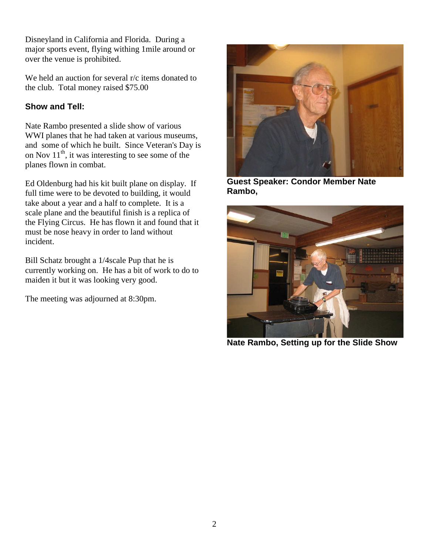Disneyland in California and Florida. During a major sports event, flying withing 1mile around or over the venue is prohibited.

We held an auction for several r/c items donated to the club. Total money raised \$75.00

### **Show and Tell:**

Nate Rambo presented a slide show of various WWI planes that he had taken at various museums, and some of which he built. Since Veteran's Day is on Nov  $11<sup>th</sup>$ , it was interesting to see some of the planes flown in combat.

Ed Oldenburg had his kit built plane on display. If full time were to be devoted to building, it would take about a year and a half to complete. It is a scale plane and the beautiful finish is a replica of the Flying Circus. He has flown it and found that it must be nose heavy in order to land without incident.

Bill Schatz brought a 1/4scale Pup that he is currently working on. He has a bit of work to do to maiden it but it was looking very good.

The meeting was adjourned at 8:30pm.



**Guest Speaker: Condor Member Nate Rambo,** 



**Nate Rambo, Setting up for the Slide Show**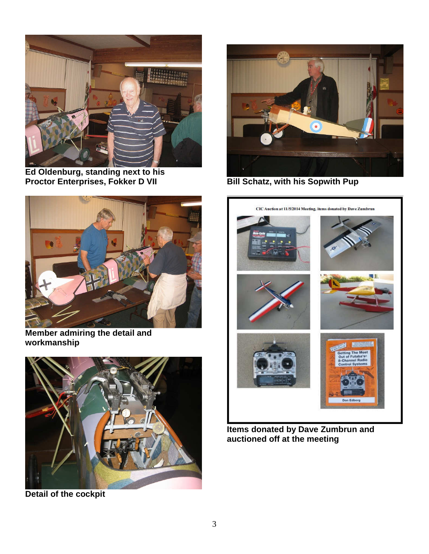

**Ed Oldenburg, standing next to his Proctor Enterprises, Fokker D VII** 



**Member admiring the detail and workmanship** 



**Detail of the cockpit** 



**Bill Schatz, with his Sopwith Pup** 



**Items donated by Dave Zumbrun and auctioned off at the meeting**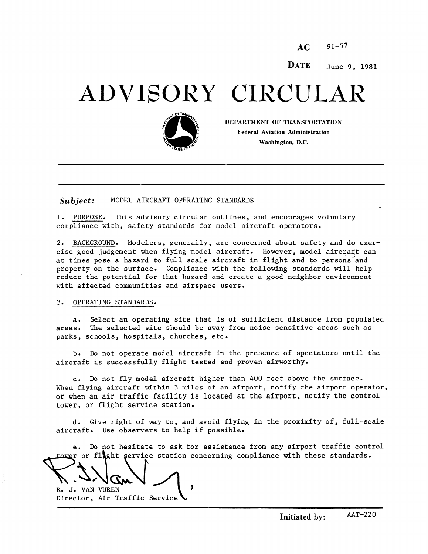$AC = 91 - 57$ 

DATE June 9, 1981

# ADVISORY CIRCULA



DEPARTMENT OF TRANSPORTATION Federal Aviation Administration Washington, D.C.

 $Subject:$  MODEL AIRCRAFT OPERATING STANDARDS

1. PURPOSE. This advisory circular outlines, and encourages voluntary compliance with, safety standards for model aircraft operators.

2. BACKGROUND. Modelers, generally, are concerned about safety and do exercise good judgement when flying model aircraft. However, model.aircraft can at times pose a hazard to full-scale aircraft in flight and to persons and property on the surface. Compliance with the following standards will help reduce the potential for that hazard and create a good neighbor environment with affected communities and airspace users.

#### 3. OPERATING STANDARDS.

a. Select an operating site that is of sufficient distance from populated areas. The selected site should be away from noise sensitive areas such as parks, schools, hospitals, churches, etc.

b. Do not operate model aircraft in the presence of spectators until the aircraft is successfully flight tested and proven airworthy.

c. Do not fly model aircraft higher than 400 feet above the surface. When flying aircraft within 3 miles of an airport, notify the airport operator, or when an air traffic facility is located at the airport, notify the control tower, or flight service station.

d. Give right of way to, and avoid flying in the proximity of, full-scale aircraft. Use observers to help if possible.

e. Do not besitate to ask for assistance from any airport traffic contr r or flecht service station concerning compliance with these standard

 $\mathbb{R}$ . R. J. VAN VUREN

Director, Air Traffic Servic